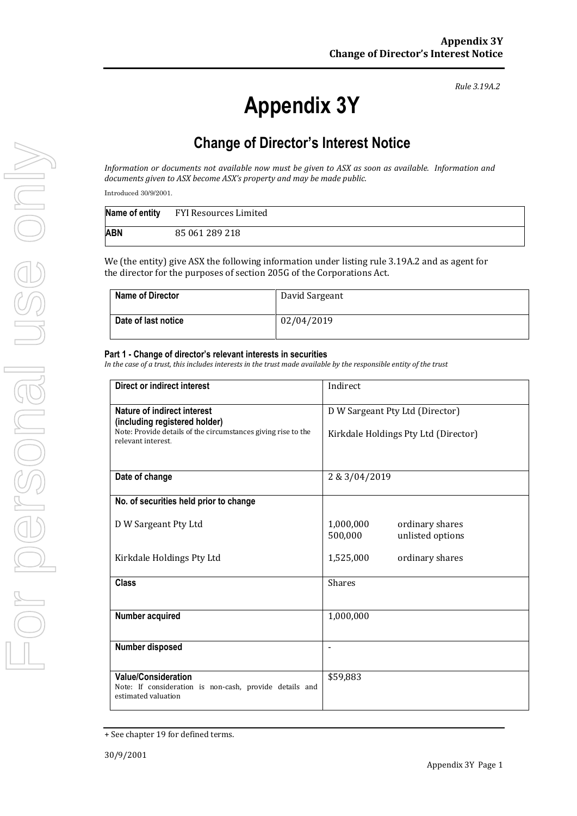*Rule 3.19A.2*

## **Change of Director's Interest Notice**

*Information or documents not available now must be given to ASX as soon as available. Information and documents given to ASX become ASX's property and may be made public.*

Introduced 30/9/2001.

|     | Name of entity FYI Resources Limited |
|-----|--------------------------------------|
| ABN | 85 061 289 218                       |

We (the entity) give ASX the following information under listing rule 3.19A.2 and as agent for the director for the purposes of section 205G of the Corporations Act.

| <b>Name of Director</b> | David Sargeant |
|-------------------------|----------------|
| Date of last notice     | 02/04/2019     |

## **Part 1 - Change of director's relevant interests in securities**

*In the case of a trust, this includes interests in the trust made available by the responsible entity of the trust*

| <b>Direct or indirect interest</b>                                                                           | Indirect                                                    |  |
|--------------------------------------------------------------------------------------------------------------|-------------------------------------------------------------|--|
| Nature of indirect interest<br>(including registered holder)                                                 | D W Sargeant Pty Ltd (Director)                             |  |
| Note: Provide details of the circumstances giving rise to the<br>relevant interest.                          | Kirkdale Holdings Pty Ltd (Director)                        |  |
| Date of change                                                                                               | 2 & 3/04/2019                                               |  |
| No. of securities held prior to change                                                                       |                                                             |  |
| D W Sargeant Pty Ltd                                                                                         | 1,000,000<br>ordinary shares<br>500,000<br>unlisted options |  |
| Kirkdale Holdings Pty Ltd                                                                                    | 1,525,000<br>ordinary shares                                |  |
| <b>Class</b>                                                                                                 | <b>Shares</b>                                               |  |
| Number acquired                                                                                              | 1,000,000                                                   |  |
| Number disposed                                                                                              |                                                             |  |
| <b>Value/Consideration</b><br>Note: If consideration is non-cash, provide details and<br>estimated valuation | \$59,883                                                    |  |

<sup>+</sup> See chapter 19 for defined terms.

**Appendix 3Y**